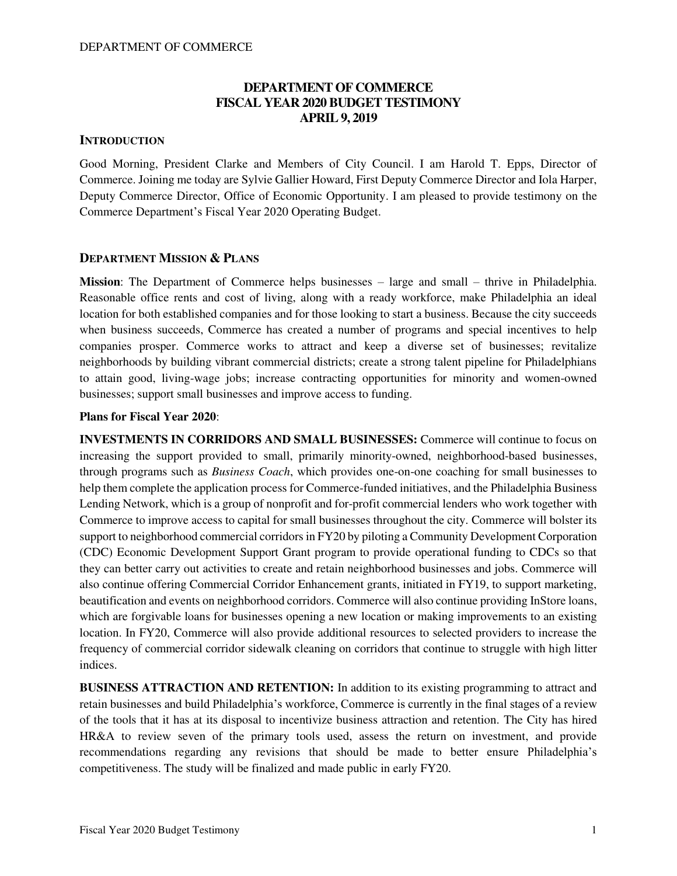# **DEPARTMENT OF COMMERCE FISCAL YEAR 2020 BUDGET TESTIMONY APRIL 9, 2019**

## **INTRODUCTION**

Good Morning, President Clarke and Members of City Council. I am Harold T. Epps, Director of Commerce. Joining me today are Sylvie Gallier Howard, First Deputy Commerce Director and Iola Harper, Deputy Commerce Director, Office of Economic Opportunity. I am pleased to provide testimony on the Commerce Department's Fiscal Year 2020 Operating Budget.

## **DEPARTMENT MISSION & PLANS**

**Mission**: The Department of Commerce helps businesses – large and small – thrive in Philadelphia. Reasonable office rents and cost of living, along with a ready workforce, make Philadelphia an ideal location for both established companies and for those looking to start a business. Because the city succeeds when business succeeds, Commerce has created a number of programs and special incentives to help companies prosper. Commerce works to attract and keep a diverse set of businesses; revitalize neighborhoods by building vibrant commercial districts; create a strong talent pipeline for Philadelphians to attain good, living-wage jobs; increase contracting opportunities for minority and women-owned businesses; support small businesses and improve access to funding.

### **Plans for Fiscal Year 2020**:

**INVESTMENTS IN CORRIDORS AND SMALL BUSINESSES:** Commerce will continue to focus on increasing the support provided to small, primarily minority-owned, neighborhood-based businesses, through programs such as *Business Coach*, which provides one-on-one coaching for small businesses to help them complete the application process for Commerce-funded initiatives, and the Philadelphia Business Lending Network, which is a group of nonprofit and for-profit commercial lenders who work together with Commerce to improve access to capital for small businesses throughout the city. Commerce will bolster its support to neighborhood commercial corridors in FY20 by piloting a Community Development Corporation (CDC) Economic Development Support Grant program to provide operational funding to CDCs so that they can better carry out activities to create and retain neighborhood businesses and jobs. Commerce will also continue offering Commercial Corridor Enhancement grants, initiated in FY19, to support marketing, beautification and events on neighborhood corridors. Commerce will also continue providing InStore loans, which are forgivable loans for businesses opening a new location or making improvements to an existing location. In FY20, Commerce will also provide additional resources to selected providers to increase the frequency of commercial corridor sidewalk cleaning on corridors that continue to struggle with high litter indices.

**BUSINESS ATTRACTION AND RETENTION:** In addition to its existing programming to attract and retain businesses and build Philadelphia's workforce, Commerce is currently in the final stages of a review of the tools that it has at its disposal to incentivize business attraction and retention. The City has hired HR&A to review seven of the primary tools used, assess the return on investment, and provide recommendations regarding any revisions that should be made to better ensure Philadelphia's competitiveness. The study will be finalized and made public in early FY20.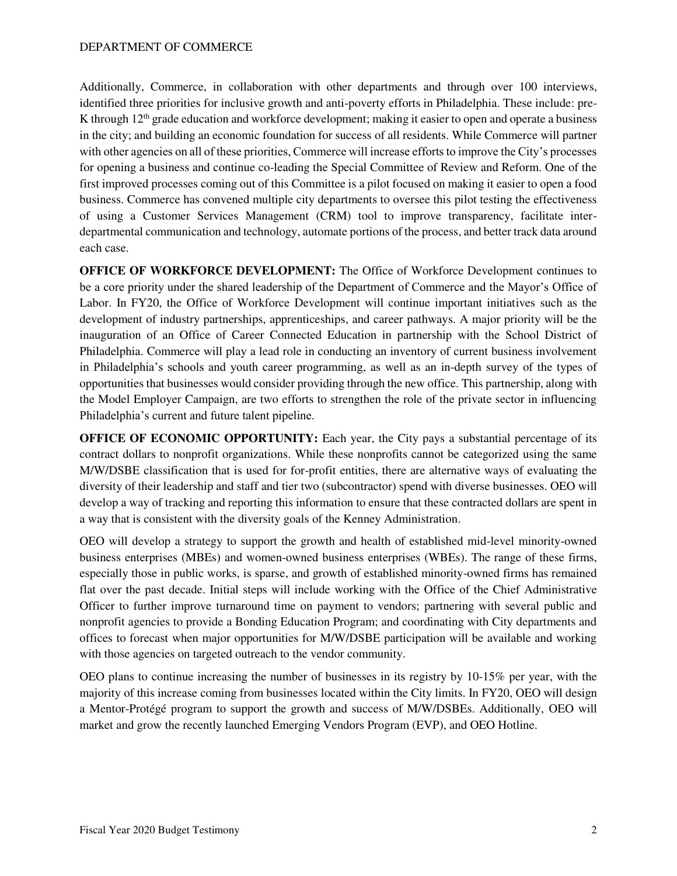Additionally, Commerce, in collaboration with other departments and through over 100 interviews, identified three priorities for inclusive growth and anti-poverty efforts in Philadelphia. These include: pre-K through  $12<sup>th</sup>$  grade education and workforce development; making it easier to open and operate a business in the city; and building an economic foundation for success of all residents. While Commerce will partner with other agencies on all of these priorities, Commerce will increase efforts to improve the City's processes for opening a business and continue co-leading the Special Committee of Review and Reform. One of the first improved processes coming out of this Committee is a pilot focused on making it easier to open a food business. Commerce has convened multiple city departments to oversee this pilot testing the effectiveness of using a Customer Services Management (CRM) tool to improve transparency, facilitate interdepartmental communication and technology, automate portions of the process, and better track data around each case.

**OFFICE OF WORKFORCE DEVELOPMENT:** The Office of Workforce Development continues to be a core priority under the shared leadership of the Department of Commerce and the Mayor's Office of Labor. In FY20, the Office of Workforce Development will continue important initiatives such as the development of industry partnerships, apprenticeships, and career pathways. A major priority will be the inauguration of an Office of Career Connected Education in partnership with the School District of Philadelphia. Commerce will play a lead role in conducting an inventory of current business involvement in Philadelphia's schools and youth career programming, as well as an in-depth survey of the types of opportunities that businesses would consider providing through the new office. This partnership, along with the Model Employer Campaign, are two efforts to strengthen the role of the private sector in influencing Philadelphia's current and future talent pipeline.

**OFFICE OF ECONOMIC OPPORTUNITY:** Each year, the City pays a substantial percentage of its contract dollars to nonprofit organizations. While these nonprofits cannot be categorized using the same M/W/DSBE classification that is used for for-profit entities, there are alternative ways of evaluating the diversity of their leadership and staff and tier two (subcontractor) spend with diverse businesses. OEO will develop a way of tracking and reporting this information to ensure that these contracted dollars are spent in a way that is consistent with the diversity goals of the Kenney Administration.

OEO will develop a strategy to support the growth and health of established mid-level minority-owned business enterprises (MBEs) and women-owned business enterprises (WBEs). The range of these firms, especially those in public works, is sparse, and growth of established minority-owned firms has remained flat over the past decade. Initial steps will include working with the Office of the Chief Administrative Officer to further improve turnaround time on payment to vendors; partnering with several public and nonprofit agencies to provide a Bonding Education Program; and coordinating with City departments and offices to forecast when major opportunities for M/W/DSBE participation will be available and working with those agencies on targeted outreach to the vendor community.

OEO plans to continue increasing the number of businesses in its registry by 10-15% per year, with the majority of this increase coming from businesses located within the City limits. In FY20, OEO will design a Mentor-Protégé program to support the growth and success of M/W/DSBEs. Additionally, OEO will market and grow the recently launched Emerging Vendors Program (EVP), and OEO Hotline.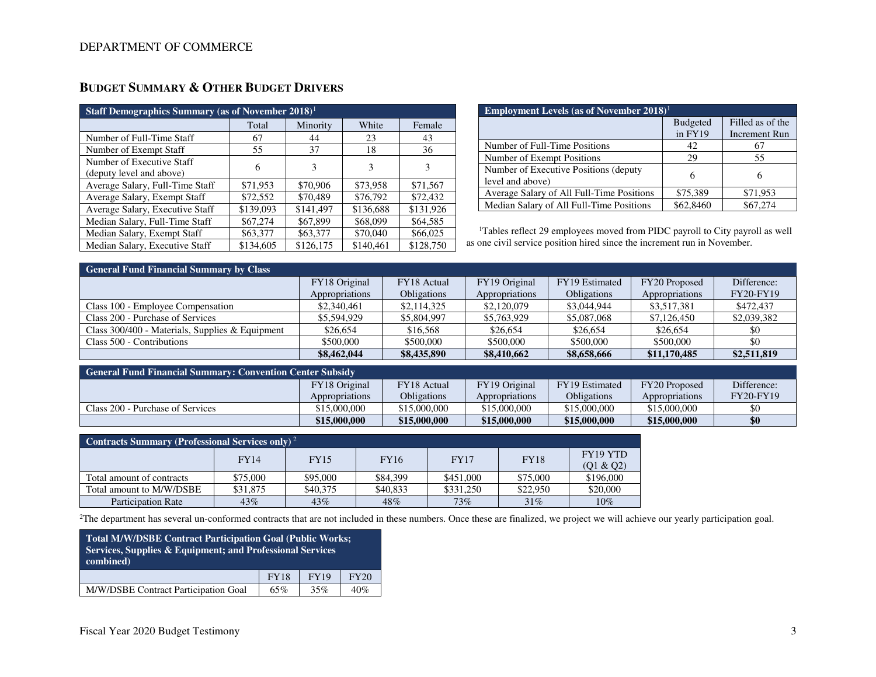| Staff Demographics Summary (as of November 2018) <sup>1</sup> |           |           |           |           |  |  |  |  |  |  |
|---------------------------------------------------------------|-----------|-----------|-----------|-----------|--|--|--|--|--|--|
|                                                               | Total     | Minority  | White     | Female    |  |  |  |  |  |  |
| Number of Full-Time Staff                                     | 67        | 44        | 23        | 43        |  |  |  |  |  |  |
| Number of Exempt Staff                                        | 55        | 37        | 18        | 36        |  |  |  |  |  |  |
| Number of Executive Staff<br>(deputy level and above)         | 6         | 3         | 3         | 3         |  |  |  |  |  |  |
| Average Salary, Full-Time Staff                               | \$71,953  | \$70,906  | \$73,958  | \$71,567  |  |  |  |  |  |  |
| Average Salary, Exempt Staff                                  | \$72,552  | \$70,489  | \$76,792  | \$72,432  |  |  |  |  |  |  |
| Average Salary, Executive Staff                               | \$139,093 | \$141,497 | \$136,688 | \$131,926 |  |  |  |  |  |  |
| Median Salary, Full-Time Staff                                | \$67,274  | \$67,899  | \$68,099  | \$64,585  |  |  |  |  |  |  |
| Median Salary, Exempt Staff                                   | \$63,377  | \$63,377  | \$70,040  | \$66,025  |  |  |  |  |  |  |
| Median Salary, Executive Staff                                | \$134,605 | \$126,175 | \$140,461 | \$128,750 |  |  |  |  |  |  |

# **BUDGET SUMMARY & OTHER BUDGET DRIVERS**

| <b>Employment Levels (as of November 2018)</b>            |                 |                      |  |  |  |  |  |  |  |
|-----------------------------------------------------------|-----------------|----------------------|--|--|--|--|--|--|--|
|                                                           | <b>Budgeted</b> | Filled as of the     |  |  |  |  |  |  |  |
|                                                           | $in$ FY19       | <b>Increment Run</b> |  |  |  |  |  |  |  |
| Number of Full-Time Positions                             | 42              | 67                   |  |  |  |  |  |  |  |
| Number of Exempt Positions                                | 29              | 55                   |  |  |  |  |  |  |  |
| Number of Executive Positions (deputy<br>level and above) | 6               |                      |  |  |  |  |  |  |  |
| Average Salary of All Full-Time Positions                 | \$75,389        | \$71,953             |  |  |  |  |  |  |  |
| Median Salary of All Full-Time Positions                  | \$62,8460       | \$67,274             |  |  |  |  |  |  |  |

<sup>1</sup>Tables reflect 29 employees moved from PIDC payroll to City payroll as well as one civil service position hired since the increment run in November.

| <b>General Fund Financial Summary by Class</b>    |                |                    |                |                    |                |                  |  |  |  |  |  |
|---------------------------------------------------|----------------|--------------------|----------------|--------------------|----------------|------------------|--|--|--|--|--|
|                                                   | FY18 Original  | <b>FY18</b> Actual | FY19 Original  | FY19 Estimated     | FY20 Proposed  | Difference:      |  |  |  |  |  |
|                                                   | Appropriations | <b>Obligations</b> | Appropriations | <b>Obligations</b> | Appropriations | <b>FY20-FY19</b> |  |  |  |  |  |
| Class 100 - Employee Compensation                 | \$2,340,461    | \$2,114,325        | \$2,120,079    | \$3,044,944        | \$3,517,381    | \$472,437        |  |  |  |  |  |
| Class 200 - Purchase of Services                  | \$5,594,929    | \$5,804,997        | \$5,763,929    | \$5,087,068        | \$7,126,450    | \$2,039,382      |  |  |  |  |  |
| Class $300/400$ - Materials, Supplies & Equipment | \$26,654       | \$16,568           | \$26,654       | \$26,654           | \$26,654       | \$0              |  |  |  |  |  |
| Class 500 - Contributions                         | \$500,000      | \$500,000          | \$500,000      | \$500,000          | \$500,000      | \$0              |  |  |  |  |  |
|                                                   | \$8,462,044    | \$8,435,890        | \$8,410,662    | \$8,658,666        | \$11,170,485   | \$2,511,819      |  |  |  |  |  |

| <b>General Fund Financial Summary: Convention Center Subsidy</b> |                |                    |                |                    |                |                  |  |  |  |  |  |
|------------------------------------------------------------------|----------------|--------------------|----------------|--------------------|----------------|------------------|--|--|--|--|--|
|                                                                  | FY18 Original  | <b>FY18</b> Actual | FY19 Original  | FY19 Estimated     | FY20 Proposed  | Difference:      |  |  |  |  |  |
|                                                                  | Appropriations | <b>Obligations</b> | Appropriations | <b>Obligations</b> | Appropriations | <b>FY20-FY19</b> |  |  |  |  |  |
| Class 200 - Purchase of Services                                 | \$15,000,000   | \$15,000,000       | \$15,000,000   | \$15,000,000       | \$15,000,000   | \$C              |  |  |  |  |  |
|                                                                  | \$15,000,000   | \$15,000,000       | \$15,000,000   | \$15,000,000       | \$15,000,000   | \$0              |  |  |  |  |  |

| <b>Contracts Summary (Professional Services only)</b> <sup>2</sup> |             |             |          |             |             |                       |  |  |  |  |  |
|--------------------------------------------------------------------|-------------|-------------|----------|-------------|-------------|-----------------------|--|--|--|--|--|
|                                                                    | <b>FY14</b> | <b>FY15</b> | FY16     | <b>FY17</b> | <b>FY18</b> | FY19 YTD<br>(01 & 02) |  |  |  |  |  |
| Total amount of contracts                                          | \$75,000    | \$95,000    | \$84,399 | \$451,000   | \$75,000    | \$196,000             |  |  |  |  |  |
| Total amount to M/W/DSBE                                           | \$31,875    | \$40,375    | \$40,833 | \$331,250   | \$22,950    | \$20,000              |  |  |  |  |  |
| <b>Participation Rate</b>                                          | 43%         | 43%         | 48%      | 73%         | 31%         | 10%                   |  |  |  |  |  |

<sup>2</sup>The department has several un-conformed contracts that are not included in these numbers. Once these are finalized, we project we will achieve our yearly participation goal.

| Total M/W/DSBE Contract Participation Goal (Public Works;<br>Services, Supplies & Equipment; and Professional Services<br>combined) |             |             |             |  |  |  |  |  |  |
|-------------------------------------------------------------------------------------------------------------------------------------|-------------|-------------|-------------|--|--|--|--|--|--|
|                                                                                                                                     | <b>FY18</b> | <b>FY19</b> | <b>FY20</b> |  |  |  |  |  |  |
| M/W/DSBE Contract Participation Goal<br>40%<br>65%<br>35%                                                                           |             |             |             |  |  |  |  |  |  |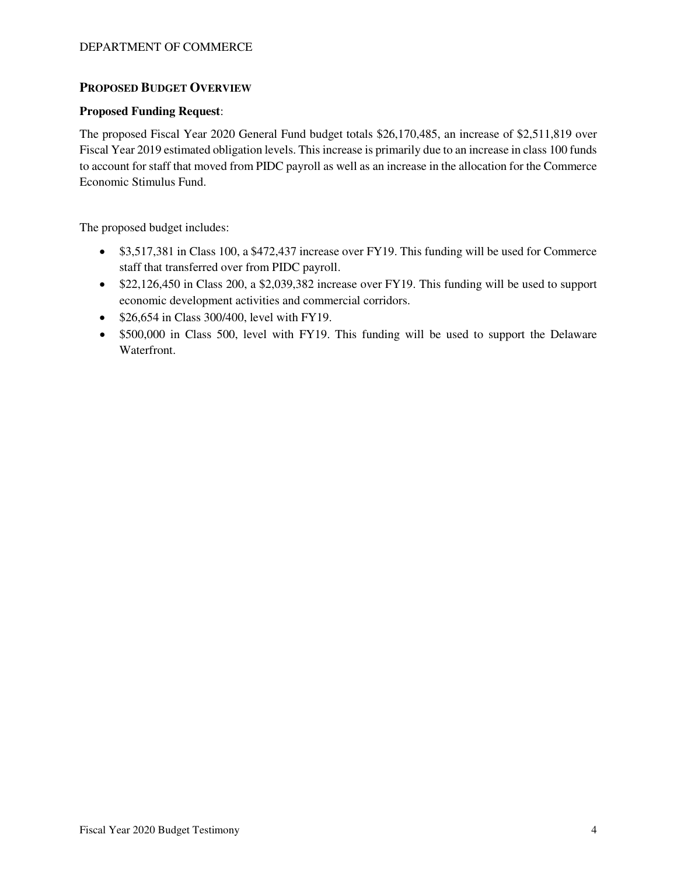# **PROPOSED BUDGET OVERVIEW**

## **Proposed Funding Request**:

The proposed Fiscal Year 2020 General Fund budget totals \$26,170,485, an increase of \$2,511,819 over Fiscal Year 2019 estimated obligation levels. This increase is primarily due to an increase in class 100 funds to account for staff that moved from PIDC payroll as well as an increase in the allocation for the Commerce Economic Stimulus Fund.

The proposed budget includes:

- \$3,517,381 in Class 100, a \$472,437 increase over FY19. This funding will be used for Commerce staff that transferred over from PIDC payroll.
- \$22,126,450 in Class 200, a \$2,039,382 increase over FY19. This funding will be used to support economic development activities and commercial corridors.
- \$26,654 in Class 300/400, level with FY19.
- \$500,000 in Class 500, level with FY19. This funding will be used to support the Delaware Waterfront.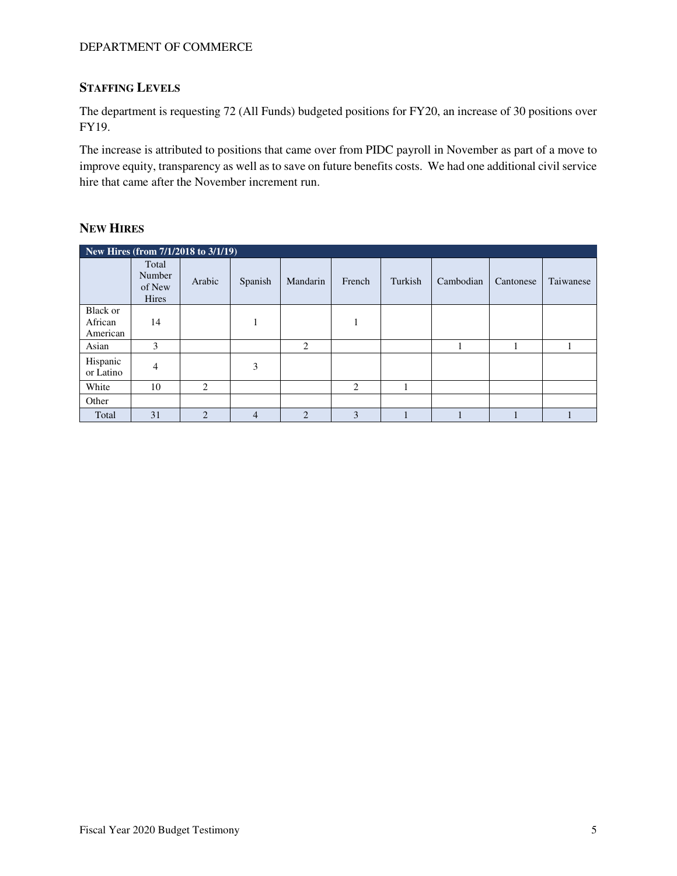# **STAFFING LEVELS**

The department is requesting 72 (All Funds) budgeted positions for FY20, an increase of 30 positions over FY19.

The increase is attributed to positions that came over from PIDC payroll in November as part of a move to improve equity, transparency as well as to save on future benefits costs. We had one additional civil service hire that came after the November increment run.

## **NEW HIRES**

|                                 | New Hires (from 7/1/2018 to 3/1/19) |                |                |                |        |         |           |           |           |  |  |  |  |
|---------------------------------|-------------------------------------|----------------|----------------|----------------|--------|---------|-----------|-----------|-----------|--|--|--|--|
|                                 | Total<br>Number<br>of New<br>Hires  | Arabic         | Spanish        | Mandarin       | French | Turkish | Cambodian | Cantonese | Taiwanese |  |  |  |  |
| Black or<br>African<br>American | 14                                  |                |                |                |        |         |           |           |           |  |  |  |  |
| Asian                           | 3                                   |                |                | 2              |        |         |           |           |           |  |  |  |  |
| Hispanic<br>or Latino           | 4                                   |                | 3              |                |        |         |           |           |           |  |  |  |  |
| White                           | 10                                  | 2              |                |                | 2      |         |           |           |           |  |  |  |  |
| Other                           |                                     |                |                |                |        |         |           |           |           |  |  |  |  |
| Total                           | 31                                  | $\overline{2}$ | $\overline{4}$ | $\overline{2}$ | 3      |         |           |           |           |  |  |  |  |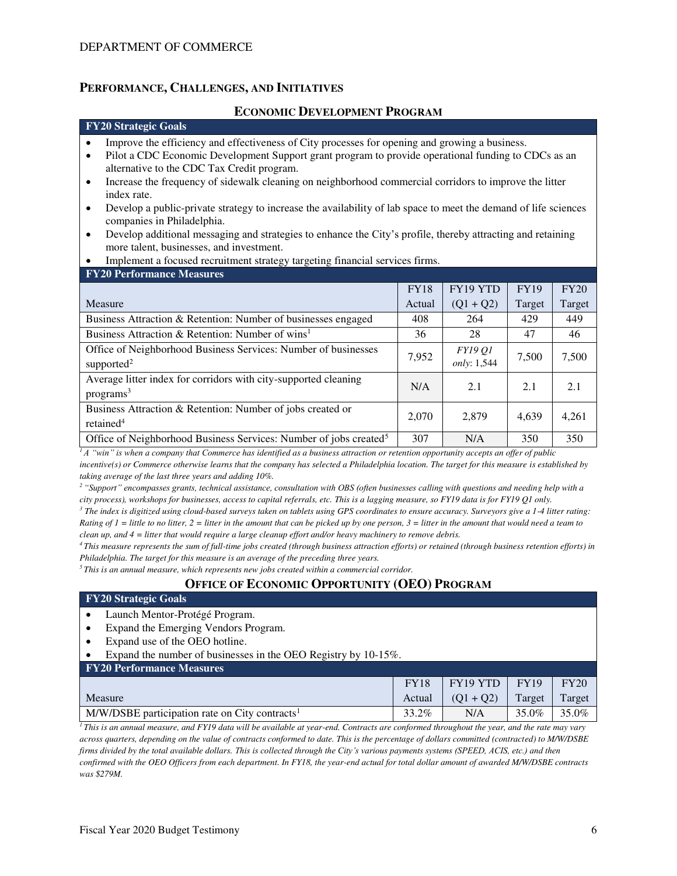## **PERFORMANCE, CHALLENGES, AND INITIATIVES**

### **ECONOMIC DEVELOPMENT PROGRAM**

#### **FY20 Strategic Goals**

- Improve the efficiency and effectiveness of City processes for opening and growing a business.
- Pilot a CDC Economic Development Support grant program to provide operational funding to CDCs as an alternative to the CDC Tax Credit program.
- Increase the frequency of sidewalk cleaning on neighborhood commercial corridors to improve the litter index rate.
- Develop a public-private strategy to increase the availability of lab space to meet the demand of life sciences companies in Philadelphia.
- Develop additional messaging and strategies to enhance the City's profile, thereby attracting and retaining more talent, businesses, and investment.
- Implement a focused recruitment strategy targeting financial services firms.

| <b>FY20 Performance Measures</b>                                              |             |                |             |             |
|-------------------------------------------------------------------------------|-------------|----------------|-------------|-------------|
|                                                                               | <b>FY18</b> | FY19 YTD       | <b>FY19</b> | <b>FY20</b> |
| Measure                                                                       | Actual      | $(Q1 + Q2)$    | Target      | Target      |
| Business Attraction & Retention: Number of businesses engaged                 | 408         | 264            | 429         | 449         |
| Business Attraction & Retention: Number of wins <sup>1</sup>                  | 36          | 28             | 47          | 46          |
| Office of Neighborhood Business Services: Number of businesses                | 7,952       | <b>FY19 O1</b> | 7,500       | 7,500       |
| supported <sup>2</sup>                                                        |             | only: 1,544    |             |             |
| Average litter index for corridors with city-supported cleaning               | N/A         | 2.1            | 2.1         | 2.1         |
| programs <sup>3</sup>                                                         |             |                |             |             |
| Business Attraction & Retention: Number of jobs created or                    | 2,070       | 2,879          | 4,639       | 4,261       |
| retained <sup>4</sup>                                                         |             |                |             |             |
| Office of Neighborhood Business Services: Number of jobs created <sup>5</sup> | 307         | N/A            | 350         | 350         |

 $\frac{1}{4}A$  "win" is when a company that Commerce has identified as a business attraction or retention opportunity accepts an offer of public *incentive(s) or Commerce otherwise learns that the company has selected a Philadelphia location. The target for this measure is established by taking average of the last three years and adding 10%.*

*<sup>2</sup>"Support" encompasses grants, technical assistance, consultation with OBS (often businesses calling with questions and needing help with a city process), workshops for businesses, access to capital referrals, etc. This is a lagging measure, so FY19 data is for FY19 Q1 only.* 

*3 The index is digitized using cloud-based surveys taken on tablets using GPS coordinates to ensure accuracy. Surveyors give a 1-4 litter rating: Rating of 1 = little to no litter, 2 = litter in the amount that can be picked up by one person, 3 = litter in the amount that would need a team to clean up, and 4 = litter that would require a large cleanup effort and/or heavy machinery to remove debris.*

*<sup>4</sup>This measure represents the sum of full-time jobs created (through business attraction efforts) or retained (through business retention efforts) in Philadelphia. The target for this measure is an average of the preceding three years.* 

*<sup>5</sup>This is an annual measure, which represents new jobs created within a commercial corridor.* 

# **OFFICE OF ECONOMIC OPPORTUNITY (OEO) PROGRAM**

#### **FY20 Strategic Goals**

- Launch Mentor-Protégé Program.
- Expand the Emerging Vendors Program.
- Expand use of the OEO hotline.
- Expand the number of businesses in the OEO Registry by 10-15%.
- **FY20 Performance Measures**

| <b>TERM I CHOI MARCO MAGAZI CO</b>                           |             |             |             |             |
|--------------------------------------------------------------|-------------|-------------|-------------|-------------|
|                                                              | <b>FY18</b> | FY19 YTD    | <b>FY19</b> | <b>FY20</b> |
| Measure                                                      | Actual      | $(01 + 02)$ | Target      | Target      |
| $M/W/DSBE$ participation rate on City contracts <sup>1</sup> | 33.2%       | N/A         | 35.0%       | 35.0%       |

 $\overline{I}$ *This is an annual measure, and FY19 data will be available at year-end. Contracts are conformed throughout the year, and the rate may vary across quarters, depending on the value of contracts conformed to date. This is the percentage of dollars committed (contracted) to M/W/DSBE firms divided by the total available dollars. This is collected through the City's various payments systems (SPEED, ACIS, etc.) and then confirmed with the OEO Officers from each department. In FY18, the year-end actual for total dollar amount of awarded M/W/DSBE contracts was \$279M.*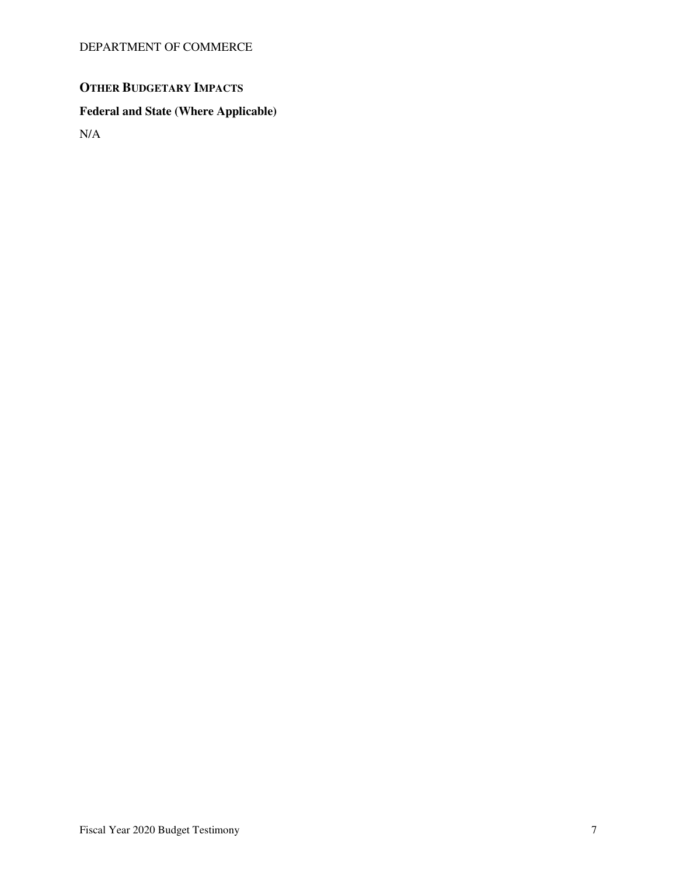# **OTHER BUDGETARY IMPACTS**

# **Federal and State (Where Applicable)**

N/A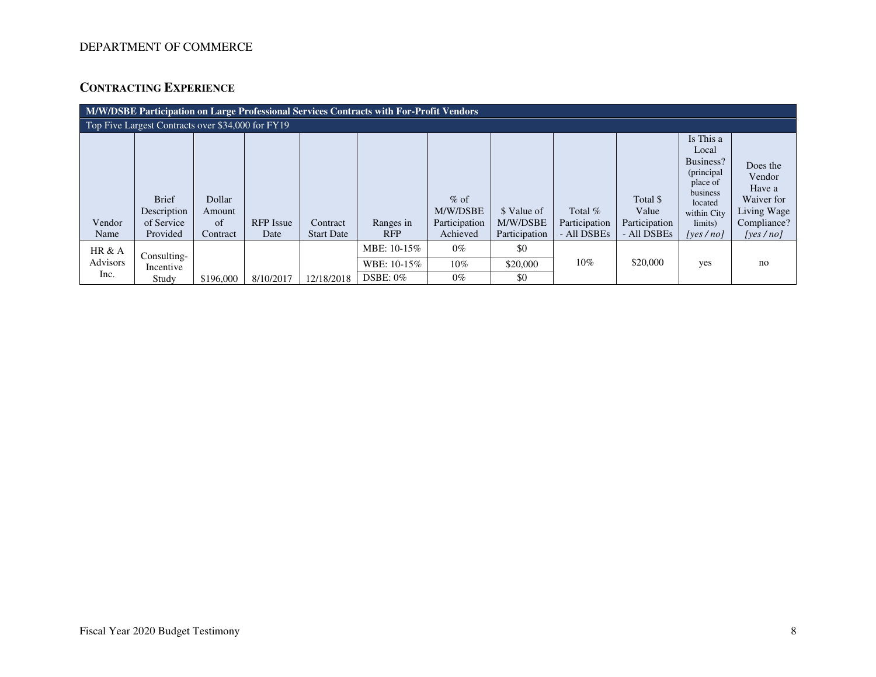# **CONTRACTING EXPERIENCE**

|                                                   | M/W/DSBE Participation on Large Professional Services Contracts with For-Profit Vendors |                                    |                          |                               |                         |                                                 |                                          |                                           |                                                   |                                                                                                                            |                                                                                        |  |  |
|---------------------------------------------------|-----------------------------------------------------------------------------------------|------------------------------------|--------------------------|-------------------------------|-------------------------|-------------------------------------------------|------------------------------------------|-------------------------------------------|---------------------------------------------------|----------------------------------------------------------------------------------------------------------------------------|----------------------------------------------------------------------------------------|--|--|
| Top Five Largest Contracts over \$34,000 for FY19 |                                                                                         |                                    |                          |                               |                         |                                                 |                                          |                                           |                                                   |                                                                                                                            |                                                                                        |  |  |
| Vendor<br>Name                                    | <b>Brief</b><br>Description<br>of Service<br>Provided                                   | Dollar<br>Amount<br>of<br>Contract | <b>RFP</b> Issue<br>Date | Contract<br><b>Start Date</b> | Ranges in<br><b>RFP</b> | $%$ of<br>M/W/DSBE<br>Participation<br>Achieved | \$ Value of<br>M/W/DSBE<br>Participation | Total $%$<br>Participation<br>- All DSBEs | Total \$<br>Value<br>Participation<br>- All DSBEs | Is This a<br>Local<br>Business?<br>(principal<br>place of<br>business<br>located<br>within City<br>limits)<br>[yes $/$ no] | Does the<br>Vendor<br>Have a<br>Waiver for<br>Living Wage<br>Compliance?<br>[yes / no] |  |  |
| HR $&A$                                           | Consulting-                                                                             |                                    |                          |                               | MBE: 10-15%             | $0\%$                                           | \$0                                      |                                           |                                                   |                                                                                                                            |                                                                                        |  |  |
| <b>Advisors</b>                                   | Incentive                                                                               |                                    |                          |                               | WBE: 10-15%             | 10%                                             | \$20,000                                 | $10\%$                                    | \$20,000                                          | yes                                                                                                                        | no                                                                                     |  |  |
| Inc.                                              | Study                                                                                   | \$196,000                          | 8/10/2017                | 12/18/2018                    | $DSBE: 0\%$             | $0\%$                                           | \$0                                      |                                           |                                                   |                                                                                                                            |                                                                                        |  |  |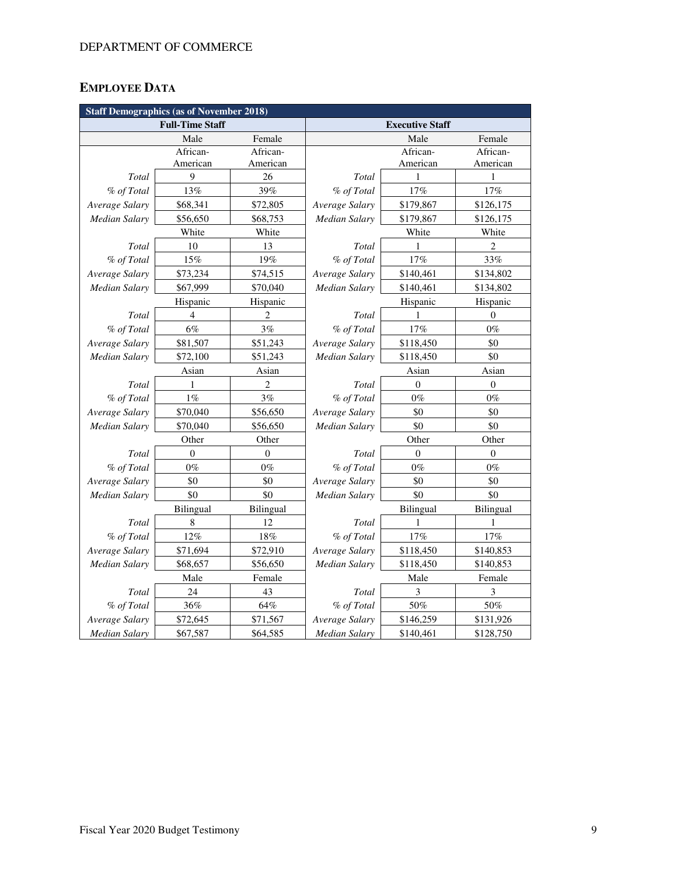# **EMPLOYEE DATA**

| <b>Staff Demographics (as of November 2018)</b> |                        |                |                      |                        |                  |  |  |  |  |
|-------------------------------------------------|------------------------|----------------|----------------------|------------------------|------------------|--|--|--|--|
|                                                 | <b>Full-Time Staff</b> |                |                      | <b>Executive Staff</b> |                  |  |  |  |  |
|                                                 | Male                   | Female         |                      | Male                   | Female           |  |  |  |  |
|                                                 | African-               | African-       |                      | African-               | African-         |  |  |  |  |
|                                                 | American               | American       |                      | American               | American         |  |  |  |  |
| Total                                           | 9                      | 26             | Total                | 1                      | 1                |  |  |  |  |
| % of Total                                      | 13%                    | 39%            | % of Total           | 17%                    | 17%              |  |  |  |  |
| Average Salary                                  | \$68,341               | \$72,805       | Average Salary       | \$179,867              | \$126,175        |  |  |  |  |
| <b>Median Salary</b>                            | \$56,650               | \$68,753       | Median Salary        | \$179,867              | \$126,175        |  |  |  |  |
|                                                 | White                  | White          |                      | White                  | White            |  |  |  |  |
| Total                                           | 10                     | 13             | Total                | 1                      | $\overline{c}$   |  |  |  |  |
| % of Total                                      | 15%                    | 19%            | % of Total           | 17%                    | 33%              |  |  |  |  |
| Average Salary                                  | \$73,234               | \$74,515       | Average Salary       | \$140,461              | \$134,802        |  |  |  |  |
| <b>Median Salary</b>                            | \$67,999               | \$70,040       | Median Salary        | \$140,461              | \$134,802        |  |  |  |  |
|                                                 | Hispanic               | Hispanic       |                      | Hispanic               | Hispanic         |  |  |  |  |
| Total                                           | $\overline{4}$         | $\overline{c}$ | Total                | 1                      | $\theta$         |  |  |  |  |
| % of Total                                      | $6\%$                  | 3%             | % of Total           | 17%                    | $0\%$            |  |  |  |  |
| Average Salary                                  | \$81,507               | \$51,243       | Average Salary       | \$118,450              | \$0              |  |  |  |  |
| <b>Median Salary</b>                            | \$72,100               | \$51,243       | Median Salary        | \$118,450              | \$0              |  |  |  |  |
|                                                 | Asian                  | Asian          |                      | Asian                  | Asian            |  |  |  |  |
| Total                                           | 1                      | 2              | Total                | $\mathbf{0}$           | $\boldsymbol{0}$ |  |  |  |  |
| % of Total                                      | 1%                     | 3%             | % of Total           | $0\%$                  | $0\%$            |  |  |  |  |
| Average Salary                                  | \$70,040               | \$56,650       | Average Salary       | \$0                    | \$0              |  |  |  |  |
| <b>Median Salary</b>                            | \$70,040               | \$56,650       | <b>Median Salary</b> | \$0                    | \$0              |  |  |  |  |
|                                                 | Other                  | Other          |                      | Other                  | Other            |  |  |  |  |
| Total                                           | $\overline{0}$         | $\mathbf{0}$   | Total                | $\mathbf{0}$           | $\mathbf{0}$     |  |  |  |  |
| % of Total                                      | $0\%$                  | $0\%$          | % of Total           | $0\%$                  | $0\%$            |  |  |  |  |
| Average Salary                                  | \$0                    | \$0            | Average Salary       | \$0                    | \$0              |  |  |  |  |
| <b>Median Salary</b>                            | \$0                    | \$0            | Median Salary        | \$0                    | \$0              |  |  |  |  |
|                                                 | Bilingual              | Bilingual      |                      | Bilingual              | Bilingual        |  |  |  |  |
| Total                                           | 8                      | 12             | Total                | 1                      | 1                |  |  |  |  |
| % of Total                                      | 12%                    | 18%            | % of Total           | 17%                    | 17%              |  |  |  |  |
| Average Salary                                  | \$71,694               | \$72,910       | Average Salary       | \$118,450              | \$140,853        |  |  |  |  |
| Median Salary                                   | \$68,657               | \$56,650       | Median Salary        | \$118,450              | \$140,853        |  |  |  |  |
|                                                 | Male                   | Female         |                      | Male                   | Female           |  |  |  |  |
| Total                                           | 24                     | 43             | Total                | 3                      | 3                |  |  |  |  |
| % of Total                                      | 36%                    | 64%            | % of Total           | $50\%$                 | 50%              |  |  |  |  |
| Average Salary                                  | \$72,645               | \$71,567       | Average Salary       | \$146,259              | \$131,926        |  |  |  |  |
| <b>Median Salary</b>                            | \$67,587               | \$64,585       | <b>Median Salary</b> | \$140,461              | \$128,750        |  |  |  |  |